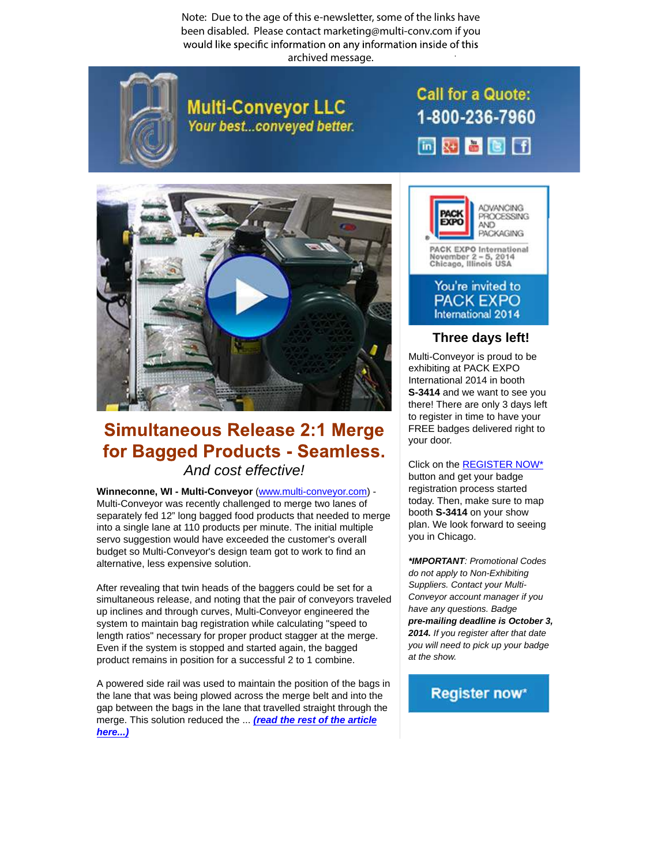Note: Due to the age of this e-newsletter, some of the links have been disabled. Please contact marketing@multi-conv.com if you would like specific information on any information inside of this . archived message.



**Multi-Conveyor LLC** Your best...conveyed better. **Call for a Quote:** 1-800-236-7960 画对音图目



## **Simultaneous Release 2:1 Merge** for Bagged Products - Seamless. And cost [effective!](http://www.multi-conveyor.com/multi-media-center/videos)

**Winneconne, WI - Multi-Conveyor** (www.multi-conveyor.com) - Multi-Conveyor was recently challenged to merge two lanes of separately fed 12" long bagged food products that needed to merge into a single lane at 110 products per minute. The initial multiple servo suggestion would have exceeded the customer's overall budget so Multi-Conveyor's design team got to work to find an alternative, less expensive solution.

After revealing that twin heads of the baggers could be set for a simultaneous release, and noting that the pair of conveyors traveled up inclines and through curves, Multi-Conveyor engineered the system to maintain bag registration while calculating "speed to length ratios" necessary for proper product stagger at the merge. Even if the system is stopped and started again, the bagged product remains in position for a successful 2 to 1 combine.

A powered side rail was used to maintain the position of the bags in the lane that was being plowed across the merge belt and into the gap between the bags in the lane that travelled straight through the merge. This solution reduced the ... **(read the rest of the article here...)**



## **Three days left!**

Multi-Conveyor is proud to be exhibiting at PACK EXPO International 2014 in booth **S-3414** and we want to see you there! There are only 3 days left to register in time to have your FREE badges delivered right to your door.

Click on the REGISTER NOW\* button and get your badge registration process started today. Then, make sure to map booth **S-3414** on your show plan. We look forward to seeing you in Chicago.

**\*IMPORTANT**: Promotional Codes do not apply to Non-Exhibiting Suppliers. Contact your Multi-Conveyor account manager if you have any questions. Badge **pre-mailing deadline is October 3, 2014.** If you register after that date you will need to pick up your badge at the show.

## **Register now\***